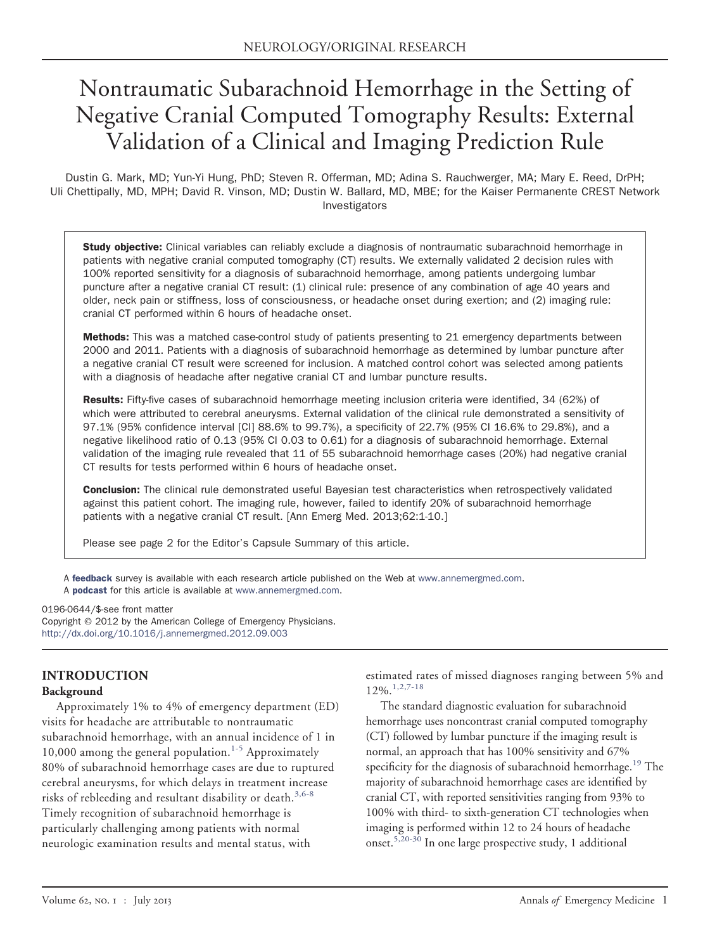# Nontraumatic Subarachnoid Hemorrhage in the Setting of Negative Cranial Computed Tomography Results: External Validation of a Clinical and Imaging Prediction Rule

Dustin G. Mark, MD; Yun-Yi Hung, PhD; Steven R. Offerman, MD; Adina S. Rauchwerger, MA; Mary E. Reed, DrPH; Uli Chettipally, MD, MPH; David R. Vinson, MD; Dustin W. Ballard, MD, MBE; for the Kaiser Permanente CREST Network Investigators

**Study objective:** Clinical variables can reliably exclude a diagnosis of nontraumatic subarachnoid hemorrhage in patients with negative cranial computed tomography (CT) results. We externally validated 2 decision rules with 100% reported sensitivity for a diagnosis of subarachnoid hemorrhage, among patients undergoing lumbar puncture after a negative cranial CT result: (1) clinical rule: presence of any combination of age 40 years and older, neck pain or stiffness, loss of consciousness, or headache onset during exertion; and (2) imaging rule: cranial CT performed within 6 hours of headache onset.

Methods: This was a matched case-control study of patients presenting to 21 emergency departments between 2000 and 2011. Patients with a diagnosis of subarachnoid hemorrhage as determined by lumbar puncture after a negative cranial CT result were screened for inclusion. A matched control cohort was selected among patients with a diagnosis of headache after negative cranial CT and lumbar puncture results.

Results: Fifty-five cases of subarachnoid hemorrhage meeting inclusion criteria were identified, 34 (62%) of which were attributed to cerebral aneurysms. External validation of the clinical rule demonstrated a sensitivity of 97.1% (95% confidence interval [CI] 88.6% to 99.7%), a specificity of 22.7% (95% CI 16.6% to 29.8%), and a negative likelihood ratio of 0.13 (95% CI 0.03 to 0.61) for a diagnosis of subarachnoid hemorrhage. External validation of the imaging rule revealed that 11 of 55 subarachnoid hemorrhage cases (20%) had negative cranial CT results for tests performed within 6 hours of headache onset.

**Conclusion:** The clinical rule demonstrated useful Bayesian test characteristics when retrospectively validated against this patient cohort. The imaging rule, however, failed to identify 20% of subarachnoid hemorrhage patients with a negative cranial CT result. [Ann Emerg Med. 2013;62:1-10.]

Please see page 2 for the Editor's Capsule Summary of this article.

A [feedback](http://www.surveymonkey.com/s/9TW7MCK) survey is available with each research article published on the Web at [www.annemergmed.com.](http://www.annemergmed.com) A [podcast](http://annemergmed.com/content/podcast) for this article is available at [www.annemergmed.com.](http://www.annemergmed.com)

0196-0644/\$-see front matter

Copyright © 2012 by the American College of Emergency Physicians. <http://dx.doi.org/10.1016/j.annemergmed.2012.09.003>

## **INTRODUCTION**

#### **Background**

Approximately 1% to 4% of emergency department (ED) visits for headache are attributable to nontraumatic subarachnoid hemorrhage, with an annual incidence of 1 in 10,000 among the general population.<sup>[1-5](#page-7-0)</sup> Approximately 80% of subarachnoid hemorrhage cases are due to ruptured cerebral aneurysms, for which delays in treatment increase risks of rebleeding and resultant disability or death.<sup>[3,6-8](#page-7-1)</sup> Timely recognition of subarachnoid hemorrhage is particularly challenging among patients with normal neurologic examination results and mental status, with

estimated rates of missed diagnoses ranging between 5% and 12%.[1,2,7-18](#page-7-0)

The standard diagnostic evaluation for subarachnoid hemorrhage uses noncontrast cranial computed tomography (CT) followed by lumbar puncture if the imaging result is normal, an approach that has 100% sensitivity and 67% specificity for the diagnosis of subarachnoid hemorrhage.<sup>[19](#page-8-0)</sup> The majority of subarachnoid hemorrhage cases are identified by cranial CT, with reported sensitivities ranging from 93% to 100% with third- to sixth-generation CT technologies when imaging is performed within 12 to 24 hours of headache onset.[5,20-30](#page-7-2) In one large prospective study, 1 additional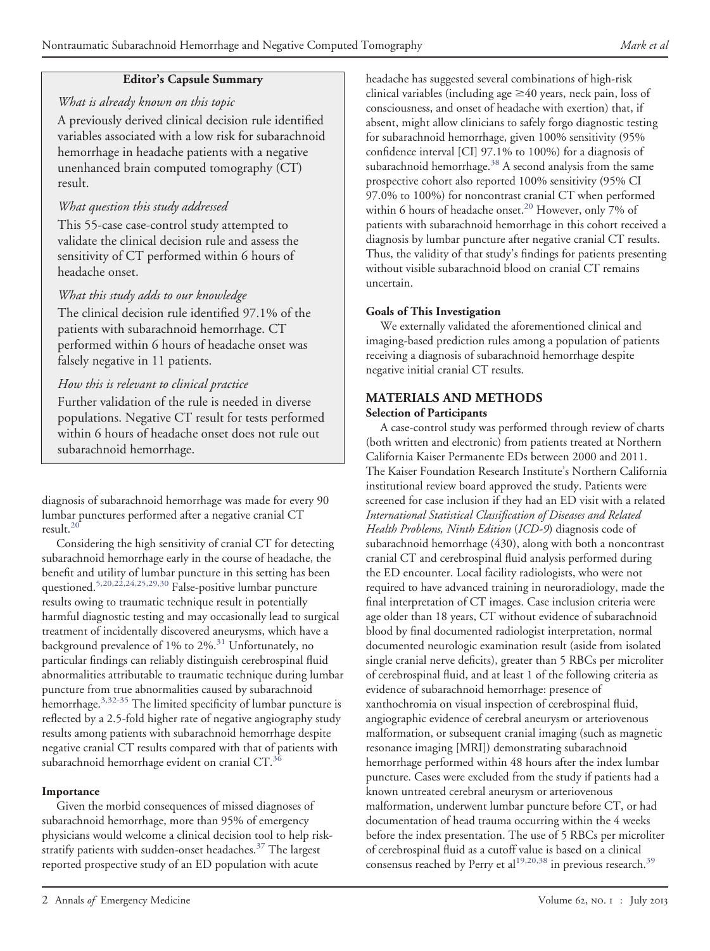## **Editor's Capsule Summary**

### *What is already known on this topic*

A previously derived clinical decision rule identified variables associated with a low risk for subarachnoid hemorrhage in headache patients with a negative unenhanced brain computed tomography (CT) result.

## *What question this study addressed*

This 55-case case-control study attempted to validate the clinical decision rule and assess the sensitivity of CT performed within 6 hours of headache onset.

## *What this study adds to our knowledge*

The clinical decision rule identified 97.1% of the patients with subarachnoid hemorrhage. CT performed within 6 hours of headache onset was falsely negative in 11 patients.

## *How this is relevant to clinical practice*

Further validation of the rule is needed in diverse populations. Negative CT result for tests performed within 6 hours of headache onset does not rule out subarachnoid hemorrhage.

diagnosis of subarachnoid hemorrhage was made for every 90 lumbar punctures performed after a negative cranial CT result. $^{20}$  $^{20}$  $^{20}$ 

Considering the high sensitivity of cranial CT for detecting subarachnoid hemorrhage early in the course of headache, the benefit and utility of lumbar puncture in this setting has been questioned.<sup>[5,20,22,24,25,29,30](#page-7-2)</sup> False-positive lumbar puncture results owing to traumatic technique result in potentially harmful diagnostic testing and may occasionally lead to surgical treatment of incidentally discovered aneurysms, which have a background prevalence of  $1\%$  to  $2\%$ .<sup>[31](#page-8-2)</sup> Unfortunately, no particular findings can reliably distinguish cerebrospinal fluid abnormalities attributable to traumatic technique during lumbar puncture from true abnormalities caused by subarachnoid hemorrhage.<sup>3,32-35</sup> The limited specificity of lumbar puncture is reflected by a 2.5-fold higher rate of negative angiography study results among patients with subarachnoid hemorrhage despite negative cranial CT results compared with that of patients with subarachnoid hemorrhage evident on cranial CT.<sup>[36](#page-8-3)</sup>

#### **Importance**

Given the morbid consequences of missed diagnoses of subarachnoid hemorrhage, more than 95% of emergency physicians would welcome a clinical decision tool to help risk-stratify patients with sudden-onset headaches.<sup>[37](#page-8-4)</sup> The largest reported prospective study of an ED population with acute

headache has suggested several combinations of high-risk clinical variables (including age  $\geq$  40 years, neck pain, loss of consciousness, and onset of headache with exertion) that, if absent, might allow clinicians to safely forgo diagnostic testing for subarachnoid hemorrhage, given 100% sensitivity (95% confidence interval [CI] 97.1% to 100%) for a diagnosis of subarachnoid hemorrhage. $38$  A second analysis from the same prospective cohort also reported 100% sensitivity (95% CI 97.0% to 100%) for noncontrast cranial CT when performed within 6 hours of headache onset.<sup>[20](#page-8-1)</sup> However, only 7% of patients with subarachnoid hemorrhage in this cohort received a diagnosis by lumbar puncture after negative cranial CT results. Thus, the validity of that study's findings for patients presenting without visible subarachnoid blood on cranial CT remains uncertain.

## **Goals of This Investigation**

We externally validated the aforementioned clinical and imaging-based prediction rules among a population of patients receiving a diagnosis of subarachnoid hemorrhage despite negative initial cranial CT results.

## **MATERIALS AND METHODS**

#### **Selection of Participants**

A case-control study was performed through review of charts (both written and electronic) from patients treated at Northern California Kaiser Permanente EDs between 2000 and 2011. The Kaiser Foundation Research Institute's Northern California institutional review board approved the study. Patients were screened for case inclusion if they had an ED visit with a related *International Statistical Classification of Diseases and Related Health Problems, Ninth Edition* (*ICD-9*) diagnosis code of subarachnoid hemorrhage (430), along with both a noncontrast cranial CT and cerebrospinal fluid analysis performed during the ED encounter. Local facility radiologists, who were not required to have advanced training in neuroradiology, made the final interpretation of CT images. Case inclusion criteria were age older than 18 years, CT without evidence of subarachnoid blood by final documented radiologist interpretation, normal documented neurologic examination result (aside from isolated single cranial nerve deficits), greater than 5 RBCs per microliter of cerebrospinal fluid, and at least 1 of the following criteria as evidence of subarachnoid hemorrhage: presence of xanthochromia on visual inspection of cerebrospinal fluid, angiographic evidence of cerebral aneurysm or arteriovenous malformation, or subsequent cranial imaging (such as magnetic resonance imaging [MRI]) demonstrating subarachnoid hemorrhage performed within 48 hours after the index lumbar puncture. Cases were excluded from the study if patients had a known untreated cerebral aneurysm or arteriovenous malformation, underwent lumbar puncture before CT, or had documentation of head trauma occurring within the 4 weeks before the index presentation. The use of 5 RBCs per microliter of cerebrospinal fluid as a cutoff value is based on a clinical consensus reached by Perry et al<sup>[19,20,38](#page-8-0)</sup> in previous research.<sup>[39](#page-8-6)</sup>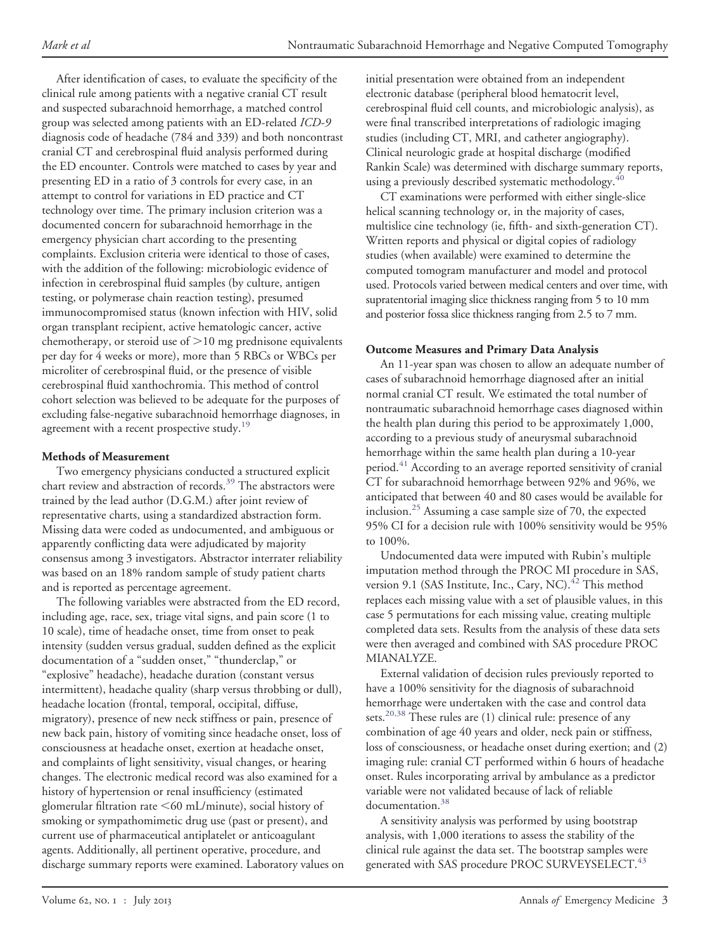After identification of cases, to evaluate the specificity of the clinical rule among patients with a negative cranial CT result and suspected subarachnoid hemorrhage, a matched control group was selected among patients with an ED-related *ICD-9* diagnosis code of headache (784 and 339) and both noncontrast cranial CT and cerebrospinal fluid analysis performed during the ED encounter. Controls were matched to cases by year and presenting ED in a ratio of 3 controls for every case, in an attempt to control for variations in ED practice and CT technology over time. The primary inclusion criterion was a documented concern for subarachnoid hemorrhage in the emergency physician chart according to the presenting complaints. Exclusion criteria were identical to those of cases, with the addition of the following: microbiologic evidence of infection in cerebrospinal fluid samples (by culture, antigen testing, or polymerase chain reaction testing), presumed immunocompromised status (known infection with HIV, solid organ transplant recipient, active hematologic cancer, active chemotherapy, or steroid use of  $>$ 10 mg prednisone equivalents per day for 4 weeks or more), more than 5 RBCs or WBCs per microliter of cerebrospinal fluid, or the presence of visible cerebrospinal fluid xanthochromia. This method of control cohort selection was believed to be adequate for the purposes of excluding false-negative subarachnoid hemorrhage diagnoses, in agreement with a recent prospective study.<sup>[19](#page-8-0)</sup>

#### **Methods of Measurement**

Two emergency physicians conducted a structured explicit chart review and abstraction of records.<sup>[39](#page-8-6)</sup> The abstractors were trained by the lead author (D.G.M.) after joint review of representative charts, using a standardized abstraction form. Missing data were coded as undocumented, and ambiguous or apparently conflicting data were adjudicated by majority consensus among 3 investigators. Abstractor interrater reliability was based on an 18% random sample of study patient charts and is reported as percentage agreement.

The following variables were abstracted from the ED record, including age, race, sex, triage vital signs, and pain score (1 to 10 scale), time of headache onset, time from onset to peak intensity (sudden versus gradual, sudden defined as the explicit documentation of a "sudden onset," "thunderclap," or "explosive" headache), headache duration (constant versus intermittent), headache quality (sharp versus throbbing or dull), headache location (frontal, temporal, occipital, diffuse, migratory), presence of new neck stiffness or pain, presence of new back pain, history of vomiting since headache onset, loss of consciousness at headache onset, exertion at headache onset, and complaints of light sensitivity, visual changes, or hearing changes. The electronic medical record was also examined for a history of hypertension or renal insufficiency (estimated glomerular filtration rate -60 mL/minute), social history of smoking or sympathomimetic drug use (past or present), and current use of pharmaceutical antiplatelet or anticoagulant agents. Additionally, all pertinent operative, procedure, and discharge summary reports were examined. Laboratory values on initial presentation were obtained from an independent electronic database (peripheral blood hematocrit level, cerebrospinal fluid cell counts, and microbiologic analysis), as were final transcribed interpretations of radiologic imaging studies (including CT, MRI, and catheter angiography). Clinical neurologic grade at hospital discharge (modified Rankin Scale) was determined with discharge summary reports, using a previously described systematic methodology.<sup>[40](#page-8-7)</sup>

CT examinations were performed with either single-slice helical scanning technology or, in the majority of cases, multislice cine technology (ie, fifth- and sixth-generation CT). Written reports and physical or digital copies of radiology studies (when available) were examined to determine the computed tomogram manufacturer and model and protocol used. Protocols varied between medical centers and over time, with supratentorial imaging slice thickness ranging from 5 to 10 mm and posterior fossa slice thickness ranging from 2.5 to 7 mm.

#### **Outcome Measures and Primary Data Analysis**

An 11-year span was chosen to allow an adequate number of cases of subarachnoid hemorrhage diagnosed after an initial normal cranial CT result. We estimated the total number of nontraumatic subarachnoid hemorrhage cases diagnosed within the health plan during this period to be approximately 1,000, according to a previous study of aneurysmal subarachnoid hemorrhage within the same health plan during a 10-year period.<sup>[41](#page-8-8)</sup> According to an average reported sensitivity of cranial CT for subarachnoid hemorrhage between 92% and 96%, we anticipated that between 40 and 80 cases would be available for inclusion.[25](#page-8-9) Assuming a case sample size of 70, the expected 95% CI for a decision rule with 100% sensitivity would be 95% to 100%.

Undocumented data were imputed with Rubin's multiple imputation method through the PROC MI procedure in SAS, version 9.1 (SAS Institute, Inc., Cary, NC).<sup>[42](#page-8-10)</sup> This method replaces each missing value with a set of plausible values, in this case 5 permutations for each missing value, creating multiple completed data sets. Results from the analysis of these data sets were then averaged and combined with SAS procedure PROC MIANALYZE.

External validation of decision rules previously reported to have a 100% sensitivity for the diagnosis of subarachnoid hemorrhage were undertaken with the case and control data sets.<sup>20,38</sup> These rules are (1) clinical rule: presence of any combination of age 40 years and older, neck pain or stiffness, loss of consciousness, or headache onset during exertion; and (2) imaging rule: cranial CT performed within 6 hours of headache onset. Rules incorporating arrival by ambulance as a predictor variable were not validated because of lack of reliable documentation.<sup>[38](#page-8-5)</sup>

A sensitivity analysis was performed by using bootstrap analysis, with 1,000 iterations to assess the stability of the clinical rule against the data set. The bootstrap samples were generated with SAS procedure PROC SURVEYSELECT.<sup>[43](#page-8-11)</sup>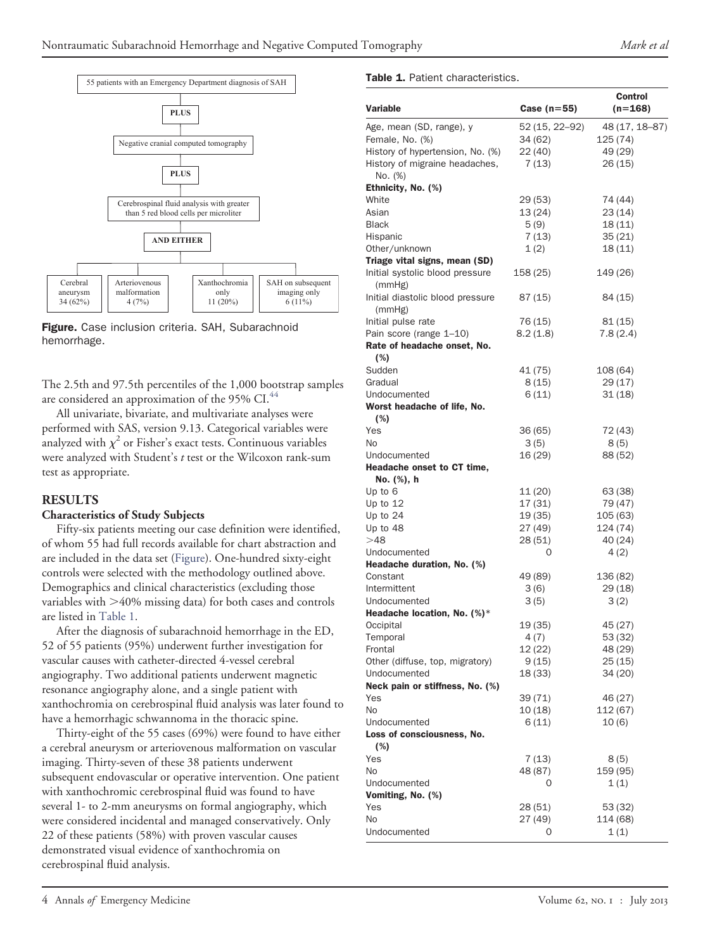

<span id="page-3-0"></span>Figure. Case inclusion criteria. SAH, Subarachnoid hemorrhage.

The 2.5th and 97.5th percentiles of the 1,000 bootstrap samples are considered an approximation of the 95% CI.<sup>[44](#page-8-12)</sup>

All univariate, bivariate, and multivariate analyses were performed with SAS, version 9.13. Categorical variables were analyzed with  $\chi^2$  or Fisher's exact tests. Continuous variables were analyzed with Student's *t* test or the Wilcoxon rank-sum test as appropriate.

#### **RESULTS**

#### **Characteristics of Study Subjects**

Fifty-six patients meeting our case definition were identified, of whom 55 had full records available for chart abstraction and are included in the data set [\(Figure\)](#page-3-0). One-hundred sixty-eight controls were selected with the methodology outlined above. Demographics and clinical characteristics (excluding those variables with  $>40\%$  missing data) for both cases and controls are listed in [Table 1.](#page-3-1)

After the diagnosis of subarachnoid hemorrhage in the ED, 52 of 55 patients (95%) underwent further investigation for vascular causes with catheter-directed 4-vessel cerebral angiography. Two additional patients underwent magnetic resonance angiography alone, and a single patient with xanthochromia on cerebrospinal fluid analysis was later found to have a hemorrhagic schwannoma in the thoracic spine.

Thirty-eight of the 55 cases (69%) were found to have either a cerebral aneurysm or arteriovenous malformation on vascular imaging. Thirty-seven of these 38 patients underwent subsequent endovascular or operative intervention. One patient with xanthochromic cerebrospinal fluid was found to have several 1- to 2-mm aneurysms on formal angiography, which were considered incidental and managed conservatively. Only 22 of these patients (58%) with proven vascular causes demonstrated visual evidence of xanthochromia on cerebrospinal fluid analysis.

## 4 Annals *of* Emergency Medicine **Volume 62, NO. I** : July 2013

#### <span id="page-3-1"></span>Table 1. Patient characteristics.

| <b>Variable</b>                                 | Case $(n=55)$      | Control<br>(n=168)  |
|-------------------------------------------------|--------------------|---------------------|
| Age, mean (SD, range), y                        | 52 (15, 22–92)     | 48 (17, 18–87)      |
| Female, No. (%)                                 | 34 (62)            | 125 (74)            |
| History of hypertension, No. (%)                | 22 (40)            | 49 (29)             |
| History of migraine headaches,<br>No. (%)       | 7(13)              | 26 (15)             |
| Ethnicity, No. (%)                              |                    |                     |
| White                                           | 29 (53)            | 74 (44)             |
| Asian                                           | 13 (24)            | 23 (14)             |
| <b>Black</b>                                    | 5(9)               | 18(11)              |
| Hispanic                                        | 7(13)              | 35 (21)             |
| Other/unknown                                   | 1(2)               | 18 (11)             |
| Triage vital signs, mean (SD)                   |                    |                     |
| Initial systolic blood pressure<br>(mmHg)       | 158 (25)           | 149 (26)            |
| Initial diastolic blood pressure<br>(mmHg)      | 87 (15)            | 84 (15)             |
| Initial pulse rate                              | 76 (15)            | 81 (15)             |
| Pain score (range 1–10)                         | 8.2(1.8)           | 7.8(2.4)            |
| Rate of headache onset, No.                     |                    |                     |
| (%)                                             |                    |                     |
| Sudden                                          | 41 (75)            | 108 (64)            |
| Gradual                                         | 8 (15)             | 29 (17)             |
| Undocumented                                    | 6 (11)             | 31(18)              |
| Worst headache of life, No.                     |                    |                     |
| (%)                                             |                    |                     |
| Yes                                             | 36 (65)            | 72 (43)             |
| No                                              | 3(5)               | 8(5)                |
| Undocumented                                    | 16 (29)            | 88 (52)             |
| Headache onset to CT time,                      |                    |                     |
| No. (%), h                                      |                    |                     |
| Up to 6<br>Up to 12                             | 11 (20)<br>17 (31) | 63 (38)             |
| Up to $24$                                      | 19 (35)            | 79 (47)<br>105 (63) |
| Up to 48                                        | 27 (49)            | 124 (74)            |
| >48                                             | 28 (51)            | 40 (24)             |
| Undocumented                                    | 0                  | 4(2)                |
| Headache duration, No. (%)                      |                    |                     |
| Constant                                        | 49 (89)            | 136 (82)            |
| Intermittent                                    | 3(6)               | 29 (18)             |
| Undocumented                                    | 3(5)               | 3(2)                |
| Headache location, No. (%)*                     |                    |                     |
| Occipital                                       | 19 (35)            | 45 (27)             |
| Temporal                                        | 4 (7)              | 53 (32)             |
| Frontal                                         | 12 (22)            | 48 (29)             |
| Other (diffuse, top, migratory)                 | 9(15)              | 25 (15)             |
| Undocumented<br>Neck pain or stiffness, No. (%) | 18 (33)            | 34 (20)             |
| Yes                                             | 39 (71)            | 46 (27)             |
| N <sub>o</sub>                                  | 10 (18)            | 112 (67)            |
| Undocumented                                    | 6 (11)             | 10 (6)              |
| Loss of consciousness, No.                      |                    |                     |
| (%)<br>Yes                                      |                    |                     |
|                                                 | 7 (13)             | 8 (5)               |
| No                                              | 48 (87)            | 159 (95)            |
| Undocumented<br>Vomiting, No. (%)               | 0                  | 1(1)                |
| Yes                                             | 28 (51)            | 53 (32)             |
| No                                              | 27 (49)            | 114 (68)            |
| Undocumented                                    | O                  | 1(1)                |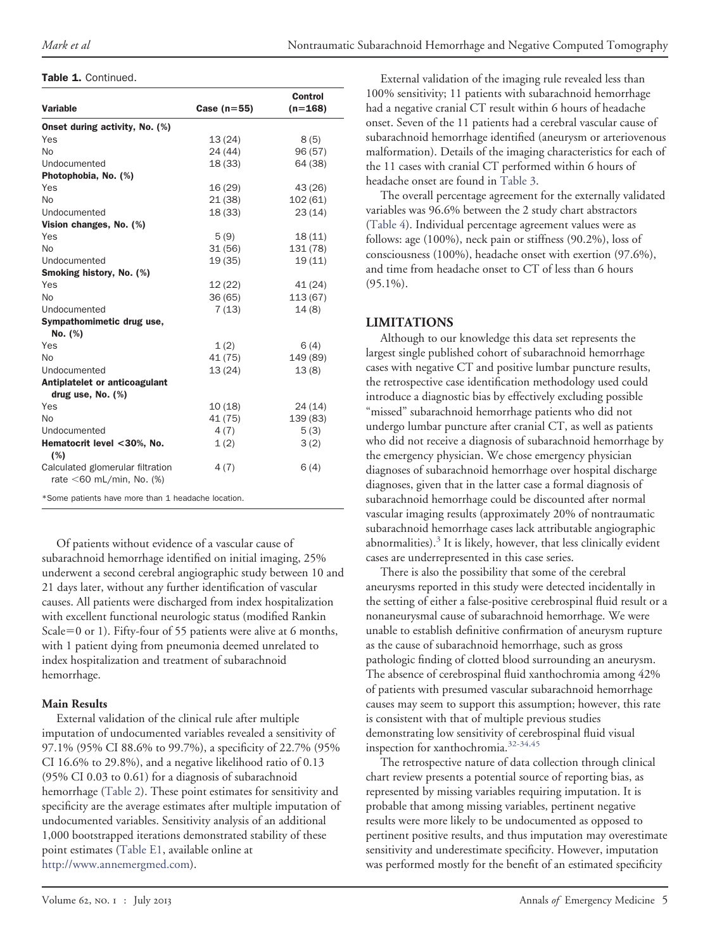#### Table 1. Continued.

| <b>Variable</b>                                                 | Case $(n=55)$ | <b>Control</b><br>$(n=168)$ |
|-----------------------------------------------------------------|---------------|-----------------------------|
| Onset during activity, No. (%)                                  |               |                             |
| Yes                                                             | 13(24)        | 8(5)                        |
| <b>No</b>                                                       | 24 (44)       | 96 (57)                     |
| Undocumented                                                    | 18 (33)       | 64 (38)                     |
| Photophobia, No. (%)                                            |               |                             |
| Yes                                                             | 16 (29)       | 43 (26)                     |
| No                                                              | 21 (38)       | 102(61)                     |
| Undocumented                                                    | 18 (33)       | 23(14)                      |
| Vision changes, No. (%)                                         |               |                             |
| Yes                                                             | 5(9)          | 18(11)                      |
| No                                                              | 31(56)        | 131 (78)                    |
| Undocumented                                                    | 19 (35)       | 19(11)                      |
| Smoking history, No. (%)                                        |               |                             |
| Yes                                                             | 12(22)        | 41 (24)                     |
| No                                                              | 36 (65)       | 113 (67)                    |
| Undocumented                                                    | 7(13)         | 14(8)                       |
| Sympathomimetic drug use,                                       |               |                             |
| No. (%)                                                         |               |                             |
| Yes                                                             | 1(2)          | 6(4)                        |
| No                                                              | 41 (75)       | 149 (89)                    |
| Undocumented                                                    | 13(24)        | 13(8)                       |
| Antiplatelet or anticoagulant                                   |               |                             |
| drug use, No. $(\%)$                                            |               |                             |
| Yes                                                             | 10(18)        | 24(14)                      |
| <b>No</b>                                                       | 41 (75)       | 139 (83)                    |
| Undocumented                                                    | 4(7)          | 5(3)                        |
| Hematocrit level <30%, No.<br>(%)                               | 1(2)          | 3(2)                        |
| Calculated glomerular filtration<br>rate $<$ 60 mL/min, No. (%) | 4(7)          | 6(4)                        |
| *Some patients have more than 1 headache location.              |               |                             |

Of patients without evidence of a vascular cause of subarachnoid hemorrhage identified on initial imaging, 25% underwent a second cerebral angiographic study between 10 and 21 days later, without any further identification of vascular causes. All patients were discharged from index hospitalization with excellent functional neurologic status (modified Rankin Scale=0 or 1). Fifty-four of 55 patients were alive at 6 months, with 1 patient dying from pneumonia deemed unrelated to index hospitalization and treatment of subarachnoid hemorrhage.

#### **Main Results**

External validation of the clinical rule after multiple imputation of undocumented variables revealed a sensitivity of 97.1% (95% CI 88.6% to 99.7%), a specificity of 22.7% (95% CI 16.6% to 29.8%), and a negative likelihood ratio of 0.13 (95% CI 0.03 to 0.61) for a diagnosis of subarachnoid hemorrhage [\(Table 2\)](#page-5-0). These point estimates for sensitivity and specificity are the average estimates after multiple imputation of undocumented variables. Sensitivity analysis of an additional 1,000 bootstrapped iterations demonstrated stability of these point estimates [\(Table E1,](#page-10-0) available online at [http://www.annemergmed.com\)](http://www.annemergmed.com).

External validation of the imaging rule revealed less than 100% sensitivity; 11 patients with subarachnoid hemorrhage had a negative cranial CT result within 6 hours of headache onset. Seven of the 11 patients had a cerebral vascular cause of subarachnoid hemorrhage identified (aneurysm or arteriovenous malformation). Details of the imaging characteristics for each of the 11 cases with cranial CT performed within 6 hours of headache onset are found in [Table 3.](#page-5-1)

The overall percentage agreement for the externally validated variables was 96.6% between the 2 study chart abstractors [\(Table 4\)](#page-5-2). Individual percentage agreement values were as follows: age (100%), neck pain or stiffness (90.2%), loss of consciousness (100%), headache onset with exertion (97.6%), and time from headache onset to CT of less than 6 hours  $(95.1\%)$ .

#### **LIMITATIONS**

Although to our knowledge this data set represents the largest single published cohort of subarachnoid hemorrhage cases with negative CT and positive lumbar puncture results, the retrospective case identification methodology used could introduce a diagnostic bias by effectively excluding possible "missed" subarachnoid hemorrhage patients who did not undergo lumbar puncture after cranial CT, as well as patients who did not receive a diagnosis of subarachnoid hemorrhage by the emergency physician. We chose emergency physician diagnoses of subarachnoid hemorrhage over hospital discharge diagnoses, given that in the latter case a formal diagnosis of subarachnoid hemorrhage could be discounted after normal vascular imaging results (approximately 20% of nontraumatic subarachnoid hemorrhage cases lack attributable angiographic abnormalities).<sup>[3](#page-7-1)</sup> It is likely, however, that less clinically evident cases are underrepresented in this case series.

There is also the possibility that some of the cerebral aneurysms reported in this study were detected incidentally in the setting of either a false-positive cerebrospinal fluid result or a nonaneurysmal cause of subarachnoid hemorrhage. We were unable to establish definitive confirmation of aneurysm rupture as the cause of subarachnoid hemorrhage, such as gross pathologic finding of clotted blood surrounding an aneurysm. The absence of cerebrospinal fluid xanthochromia among 42% of patients with presumed vascular subarachnoid hemorrhage causes may seem to support this assumption; however, this rate is consistent with that of multiple previous studies demonstrating low sensitivity of cerebrospinal fluid visual inspection for xanthochromia.<sup>[32-34,45](#page-8-13)</sup>

The retrospective nature of data collection through clinical chart review presents a potential source of reporting bias, as represented by missing variables requiring imputation. It is probable that among missing variables, pertinent negative results were more likely to be undocumented as opposed to pertinent positive results, and thus imputation may overestimate sensitivity and underestimate specificity. However, imputation was performed mostly for the benefit of an estimated specificity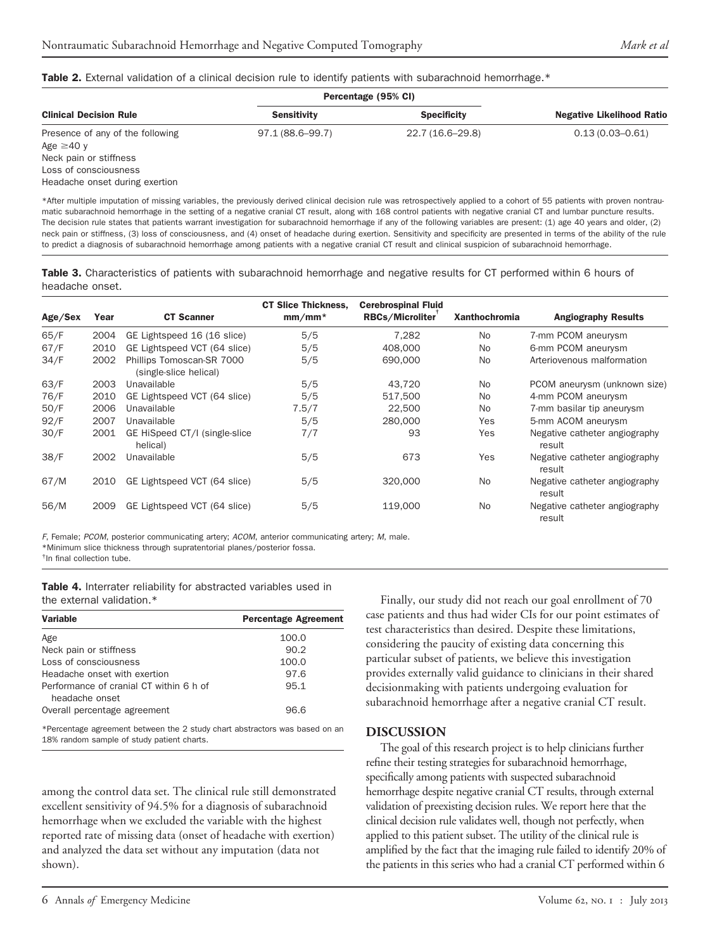#### <span id="page-5-0"></span>Table 2. External validation of a clinical decision rule to identify patients with subarachnoid hemorrhage.\*

|                                                     | Percentage (95% CI) |                    |                                  |
|-----------------------------------------------------|---------------------|--------------------|----------------------------------|
| <b>Clinical Decision Rule</b>                       | <b>Sensitivity</b>  | <b>Specificity</b> | <b>Negative Likelihood Ratio</b> |
| Presence of any of the following<br>Age $\geq$ 40 y | 97.1 (88.6–99.7)    | 22.7 (16.6-29.8)   | $0.13(0.03 - 0.61)$              |
| Neck pain or stiffness                              |                     |                    |                                  |
| Loss of consciousness                               |                     |                    |                                  |
| Headache onset during exertion                      |                     |                    |                                  |

\*After multiple imputation of missing variables, the previously derived clinical decision rule was retrospectively applied to a cohort of 55 patients with proven nontraumatic subarachnoid hemorrhage in the setting of a negative cranial CT result, along with 168 control patients with negative cranial CT and lumbar puncture results. The decision rule states that patients warrant investigation for subarachnoid hemorrhage if any of the following variables are present: (1) age 40 years and older, (2) neck pain or stiffness, (3) loss of consciousness, and (4) onset of headache during exertion. Sensitivity and specificity are presented in terms of the ability of the rule to predict a diagnosis of subarachnoid hemorrhage among patients with a negative cranial CT result and clinical suspicion of subarachnoid hemorrhage.

<span id="page-5-1"></span>Table 3. Characteristics of patients with subarachnoid hemorrhage and negative results for CT performed within 6 hours of headache onset.

|         |      |                                                     | <b>CT Slice Thickness,</b> | <b>Cerebrospinal Fluid</b> |                      |                                         |
|---------|------|-----------------------------------------------------|----------------------------|----------------------------|----------------------|-----------------------------------------|
| Age/Sex | Year | <b>CT Scanner</b>                                   | $mm/mm*$                   | RBCs/Microliter            | <b>Xanthochromia</b> | <b>Angiography Results</b>              |
| 65/F    | 2004 | GE Lightspeed 16 (16 slice)                         | 5/5                        | 7.282                      | N <sub>o</sub>       | 7-mm PCOM aneurysm                      |
| 67/F    | 2010 | GE Lightspeed VCT (64 slice)                        | 5/5                        | 408,000                    | N <sub>o</sub>       | 6-mm PCOM aneurysm                      |
| 34/F    | 2002 | Phillips Tomoscan-SR 7000<br>(single-slice helical) | 5/5                        | 690,000                    | N <sub>o</sub>       | Arteriovenous malformation              |
| 63/F    | 2003 | Unavailable                                         | 5/5                        | 43,720                     | N <sub>o</sub>       | PCOM aneurysm (unknown size)            |
| 76/F    | 2010 | GE Lightspeed VCT (64 slice)                        | 5/5                        | 517,500                    | N <sub>o</sub>       | 4-mm PCOM aneurysm                      |
| 50/F    | 2006 | Unavailable                                         | 7.5/7                      | 22,500                     | N <sub>o</sub>       | 7-mm basilar tip aneurysm               |
| 92/F    | 2007 | Unavailable                                         | 5/5                        | 280,000                    | Yes                  | 5-mm ACOM aneurysm                      |
| 30/F    | 2001 | GE HiSpeed CT/I (single-slice<br>helical)           | 7/7                        | 93                         | Yes                  | Negative catheter angiography<br>result |
| 38/F    | 2002 | Unavailable                                         | 5/5                        | 673                        | Yes                  | Negative catheter angiography<br>result |
| 67/M    | 2010 | GE Lightspeed VCT (64 slice)                        | 5/5                        | 320,000                    | N <sub>o</sub>       | Negative catheter angiography<br>result |
| 56/M    | 2009 | GE Lightspeed VCT (64 slice)                        | 5/5                        | 119,000                    | No.                  | Negative catheter angiography<br>result |

*F*, Female; *PCOM*, posterior communicating artery; *ACOM*, anterior communicating artery; *M*, male. \*Minimum slice thickness through supratentorial planes/posterior fossa.

<span id="page-5-2"></span>† In final collection tube.

Table 4. Interrater reliability for abstracted variables used in the external validation.\*

| Variable                                                  | <b>Percentage Agreement</b> |
|-----------------------------------------------------------|-----------------------------|
| Age                                                       | 100.0                       |
| Neck pain or stiffness                                    | 90.2                        |
| Loss of consciousness                                     | 100.0                       |
| Headache onset with exertion                              | 97.6                        |
| Performance of cranial CT within 6 h of<br>headache onset | 95.1                        |
| Overall percentage agreement                              | 96.6                        |

\*Percentage agreement between the 2 study chart abstractors was based on an 18% random sample of study patient charts.

among the control data set. The clinical rule still demonstrated excellent sensitivity of 94.5% for a diagnosis of subarachnoid hemorrhage when we excluded the variable with the highest reported rate of missing data (onset of headache with exertion) and analyzed the data set without any imputation (data not shown).

Finally, our study did not reach our goal enrollment of 70 case patients and thus had wider CIs for our point estimates of test characteristics than desired. Despite these limitations, considering the paucity of existing data concerning this particular subset of patients, we believe this investigation provides externally valid guidance to clinicians in their shared decisionmaking with patients undergoing evaluation for subarachnoid hemorrhage after a negative cranial CT result.

#### **DISCUSSION**

The goal of this research project is to help clinicians further refine their testing strategies for subarachnoid hemorrhage, specifically among patients with suspected subarachnoid hemorrhage despite negative cranial CT results, through external validation of preexisting decision rules. We report here that the clinical decision rule validates well, though not perfectly, when applied to this patient subset. The utility of the clinical rule is amplified by the fact that the imaging rule failed to identify 20% of the patients in this series who had a cranial CT performed within 6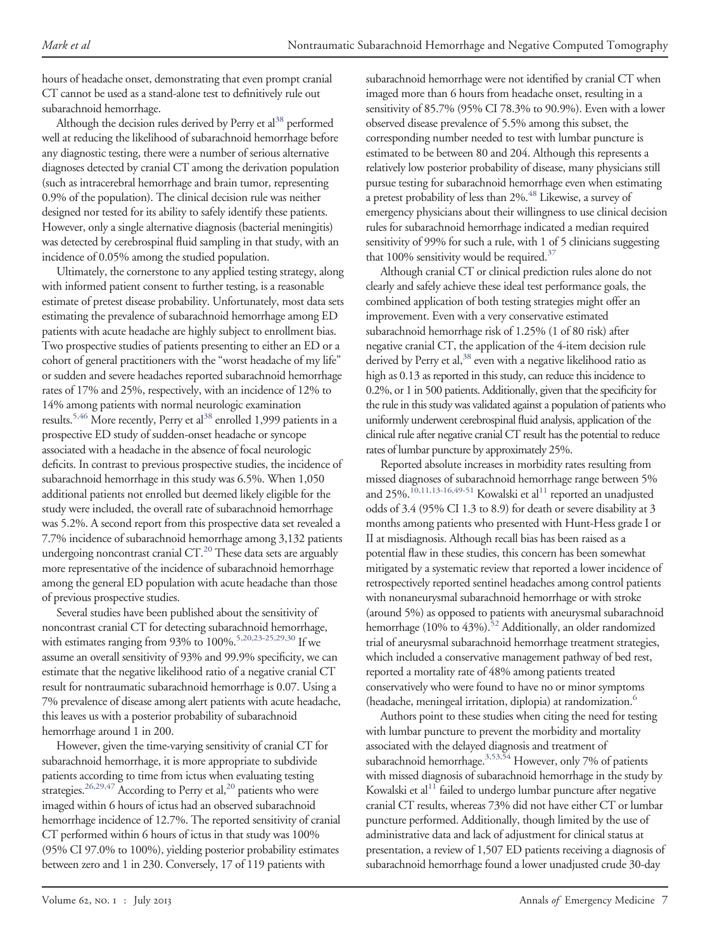hours of headache onset, demonstrating that even prompt cranial CT cannot be used as a stand-alone test to definitively rule out subarachnoid hemorrhage.

Although the decision rules derived by Perry et  $al<sup>38</sup>$  performed well at reducing the likelihood of subarachnoid hemorrhage before any diagnostic testing, there were a number of serious alternative diagnoses detected by cranial CT among the derivation population (such as intracerebral hemorrhage and brain tumor, representing 0.9% of the population). The clinical decision rule was neither designed nor tested for its ability to safely identify these patients. However, only a single alternative diagnosis (bacterial meningitis) was detected by cerebrospinal fluid sampling in that study, with an incidence of 0.05% among the studied population.

Ultimately, the cornerstone to any applied testing strategy, along with informed patient consent to further testing, is a reasonable estimate of pretest disease probability. Unfortunately, most data sets estimating the prevalence of subarachnoid hemorrhage among ED patients with acute headache are highly subject to enrollment bias. Two prospective studies of patients presenting to either an ED or a cohort of general practitioners with the "worst headache of my life" or sudden and severe headaches reported subarachnoid hemorrhage rates of 17% and 25%, respectively, with an incidence of 12% to 14% among patients with normal neurologic examination results.<sup>5,46</sup> More recently, Perry et al<sup>38</sup> enrolled 1,999 patients in a prospective ED study of sudden-onset headache or syncope associated with a headache in the absence of focal neurologic deficits. In contrast to previous prospective studies, the incidence of subarachnoid hemorrhage in this study was 6.5%. When 1,050 additional patients not enrolled but deemed likely eligible for the study were included, the overall rate of subarachnoid hemorrhage was 5.2%. A second report from this prospective data set revealed a 7.7% incidence of subarachnoid hemorrhage among 3,132 patients undergoing noncontrast cranial CT.<sup>20</sup> These data sets are arguably more representative of the incidence of subarachnoid hemorrhage among the general ED population with acute headache than those of previous prospective studies.

Several studies have been published about the sensitivity of noncontrast cranial CT for detecting subarachnoid hemorrhage, with estimates ranging from 93% to  $100\%$ .<sup>5,20,23-25,29,30</sup> If we assume an overall sensitivity of 93% and 99.9% specificity, we can estimate that the negative likelihood ratio of a negative cranial CT result for nontraumatic subarachnoid hemorrhage is 0.07. Using a 7% prevalence of disease among alert patients with acute headache, this leaves us with a posterior probability of subarachnoid hemorrhage around 1 in 200.

However, given the time-varying sensitivity of cranial CT for subarachnoid hemorrhage, it is more appropriate to subdivide patients according to time from ictus when evaluating testing strategies.<sup>26,29,47</sup> According to Perry et al,<sup>20</sup> patients who were imaged within 6 hours of ictus had an observed subarachnoid hemorrhage incidence of 12.7%. The reported sensitivity of cranial CT performed within 6 hours of ictus in that study was 100% (95% CI 97.0% to 100%), yielding posterior probability estimates between zero and 1 in 230. Conversely, 17 of 119 patients with

subarachnoid hemorrhage were not identified by cranial CT when imaged more than 6 hours from headache onset, resulting in a sensitivity of 85.7% (95% CI 78.3% to 90.9%). Even with a lower observed disease prevalence of 5.5% among this subset, the corresponding number needed to test with lumbar puncture is estimated to be between 80 and 204. Although this represents a relatively low posterior probability of disease, many physicians still pursue testing for subarachnoid hemorrhage even when estimating a pretest probability of less than 2%.<sup>48</sup> Likewise, a survey of emergency physicians about their willingness to use clinical decision rules for subarachnoid hemorrhage indicated a median required sensitivity of 99% for such a rule, with 1 of 5 clinicians suggesting that 100% sensitivity would be required. $37$ 

Although cranial CT or clinical prediction rules alone do not clearly and safely achieve these ideal test performance goals, the combined application of both testing strategies might offer an improvement. Even with a very conservative estimated subarachnoid hemorrhage risk of 1.25% (1 of 80 risk) after negative cranial CT, the application of the 4-item decision rule derived by Perry et al,<sup>38</sup> even with a negative likelihood ratio as high as 0.13 as reported in this study, can reduce this incidence to 0.2%, or 1 in 500 patients. Additionally, given that the specificity for the rule in this study was validated against a population of patients who uniformly underwent cerebrospinal fluid analysis, application of the clinical rule after negative cranial CT result has the potential to reduce rates of lumbar puncture by approximately 25%.

Reported absolute increases in morbidity rates resulting from missed diagnoses of subarachnoid hemorrhage range between 5% and 25%.<sup>10,11,13-16,49-51</sup> Kowalski et al<sup>11</sup> reported an unadjusted odds of 3.4 (95% CI 1.3 to 8.9) for death or severe disability at 3 months among patients who presented with Hunt-Hess grade I or II at misdiagnosis. Although recall bias has been raised as a potential flaw in these studies, this concern has been somewhat mitigated by a systematic review that reported a lower incidence of retrospectively reported sentinel headaches among control patients with nonaneurysmal subarachnoid hemorrhage or with stroke (around 5%) as opposed to patients with aneurysmal subarachnoid hemorrhage  $(10\%$  to  $43\%)$ .<sup>52</sup> Additionally, an older randomized trial of aneurysmal subarachnoid hemorrhage treatment strategies, which included a conservative management pathway of bed rest, reported a mortality rate of 48% among patients treated conservatively who were found to have no or minor symptoms (headache, meningeal irritation, diplopia) at randomization.<sup>6</sup>

Authors point to these studies when citing the need for testing with lumbar puncture to prevent the morbidity and mortality associated with the delayed diagnosis and treatment of subarachnoid hemorrhage.<sup>3,53,54</sup> However, only 7% of patients with missed diagnosis of subarachnoid hemorrhage in the study by Kowalski et al $11$  failed to undergo lumbar puncture after negative cranial CT results, whereas 73% did not have either CT or lumbar puncture performed. Additionally, though limited by the use of administrative data and lack of adjustment for clinical status at presentation, a review of 1,507 ED patients receiving a diagnosis of subarachnoid hemorrhage found a lower unadjusted crude 30-day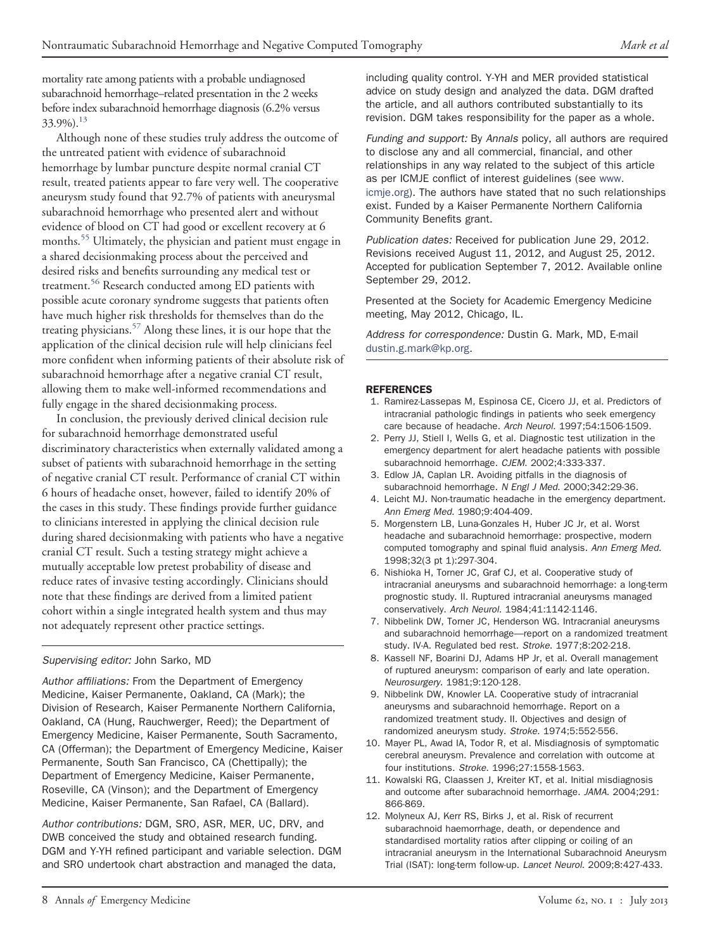mortality rate among patients with a probable undiagnosed subarachnoid hemorrhage–related presentation in the 2 weeks before index subarachnoid hemorrhage diagnosis (6.2% versus  $33.9\%$ ).<sup>13</sup>

Although none of these studies truly address the outcome of the untreated patient with evidence of subarachnoid hemorrhage by lumbar puncture despite normal cranial CT result, treated patients appear to fare very well. The cooperative aneurysm study found that 92.7% of patients with aneurysmal subarachnoid hemorrhage who presented alert and without evidence of blood on CT had good or excellent recovery at 6 months.[55](#page-9-1) Ultimately, the physician and patient must engage in a shared decisionmaking process about the perceived and desired risks and benefits surrounding any medical test or treatment.<sup>[56](#page-9-2)</sup> Research conducted among ED patients with possible acute coronary syndrome suggests that patients often have much higher risk thresholds for themselves than do the treating physicians.[57](#page-9-3) Along these lines, it is our hope that the application of the clinical decision rule will help clinicians feel more confident when informing patients of their absolute risk of subarachnoid hemorrhage after a negative cranial CT result, allowing them to make well-informed recommendations and fully engage in the shared decisionmaking process.

In conclusion, the previously derived clinical decision rule for subarachnoid hemorrhage demonstrated useful discriminatory characteristics when externally validated among a subset of patients with subarachnoid hemorrhage in the setting of negative cranial CT result. Performance of cranial CT within 6 hours of headache onset, however, failed to identify 20% of the cases in this study. These findings provide further guidance to clinicians interested in applying the clinical decision rule during shared decisionmaking with patients who have a negative cranial CT result. Such a testing strategy might achieve a mutually acceptable low pretest probability of disease and reduce rates of invasive testing accordingly. Clinicians should note that these findings are derived from a limited patient cohort within a single integrated health system and thus may not adequately represent other practice settings.

#### *Supervising editor:* John Sarko, MD

*Author affiliations:* From the Department of Emergency Medicine, Kaiser Permanente, Oakland, CA (Mark); the Division of Research, Kaiser Permanente Northern California, Oakland, CA (Hung, Rauchwerger, Reed); the Department of Emergency Medicine, Kaiser Permanente, South Sacramento, CA (Offerman); the Department of Emergency Medicine, Kaiser Permanente, South San Francisco, CA (Chettipally); the Department of Emergency Medicine, Kaiser Permanente, Roseville, CA (Vinson); and the Department of Emergency Medicine, Kaiser Permanente, San Rafael, CA (Ballard).

*Author contributions:* DGM, SRO, ASR, MER, UC, DRV, and DWB conceived the study and obtained research funding. DGM and Y-YH refined participant and variable selection. DGM and SRO undertook chart abstraction and managed the data,

including quality control. Y-YH and MER provided statistical advice on study design and analyzed the data. DGM drafted the article, and all authors contributed substantially to its revision. DGM takes responsibility for the paper as a whole.

*Funding and support:* By *Annals* policy, all authors are required to disclose any and all commercial, financial, and other relationships in any way related to the subject of this article as per ICMJE conflict of interest guidelines (see [www.](http://www.icmje.org) [icmje.org\)](http://www.icmje.org). The authors have stated that no such relationships exist. Funded by a Kaiser Permanente Northern California Community Benefits grant.

*Publication dates:* Received for publication June 29, 2012. Revisions received August 11, 2012, and August 25, 2012. Accepted for publication September 7, 2012. Available online September 29, 2012.

Presented at the Society for Academic Emergency Medicine meeting, May 2012, Chicago, IL.

*Address for correspondence:* Dustin G. Mark, MD, E-mail [dustin.g.mark@kp.org.](mailto:dustin.g.mark@kp.org)

#### <span id="page-7-0"></span>**REFERENCES**

- 1. Ramirez-Lassepas M, Espinosa CE, Cicero JJ, et al. Predictors of intracranial pathologic findings in patients who seek emergency care because of headache. *Arch Neurol*. 1997;54:1506-1509.
- 2. Perry JJ, Stiell I, Wells G, et al. Diagnostic test utilization in the emergency department for alert headache patients with possible subarachnoid hemorrhage. *CJEM*. 2002;4:333-337.
- <span id="page-7-1"></span>3. Edlow JA, Caplan LR. Avoiding pitfalls in the diagnosis of subarachnoid hemorrhage. *N Engl J Med*. 2000;342:29-36.
- <span id="page-7-2"></span>4. Leicht MJ. Non-traumatic headache in the emergency department. *Ann Emerg Med*. 1980;9:404-409.
- 5. Morgenstern LB, Luna-Gonzales H, Huber JC Jr, et al. Worst headache and subarachnoid hemorrhage: prospective, modern computed tomography and spinal fluid analysis. *Ann Emerg Med*. 1998;32(3 pt 1):297-304.
- <span id="page-7-5"></span>6. Nishioka H, Torner JC, Graf CJ, et al. Cooperative study of intracranial aneurysms and subarachnoid hemorrhage: a long-term prognostic study. II. Ruptured intracranial aneurysms managed conservatively. *Arch Neurol*. 1984;41:1142-1146.
- 7. Nibbelink DW, Torner JC, Henderson WG. Intracranial aneurysms and subarachnoid hemorrhage—report on a randomized treatment study. IV-A. Regulated bed rest. *Stroke*. 1977;8:202-218.
- 8. Kassell NF, Boarini DJ, Adams HP Jr, et al. Overall management of ruptured aneurysm: comparison of early and late operation. *Neurosurgery*. 1981;9:120-128.
- 9. Nibbelink DW, Knowler LA. Cooperative study of intracranial aneurysms and subarachnoid hemorrhage. Report on a randomized treatment study. II. Objectives and design of randomized aneurysm study. *Stroke*. 1974;5:552-556.
- <span id="page-7-3"></span>10. Mayer PL, Awad IA, Todor R, et al. Misdiagnosis of symptomatic cerebral aneurysm. Prevalence and correlation with outcome at four institutions. *Stroke*. 1996;27:1558-1563.
- <span id="page-7-4"></span>11. Kowalski RG, Claassen J, Kreiter KT, et al. Initial misdiagnosis and outcome after subarachnoid hemorrhage. *JAMA*. 2004;291: 866-869.
- 12. Molyneux AJ, Kerr RS, Birks J, et al. Risk of recurrent subarachnoid haemorrhage, death, or dependence and standardised mortality ratios after clipping or coiling of an intracranial aneurysm in the International Subarachnoid Aneurysm Trial (ISAT): long-term follow-up. *Lancet Neurol*. 2009;8:427-433.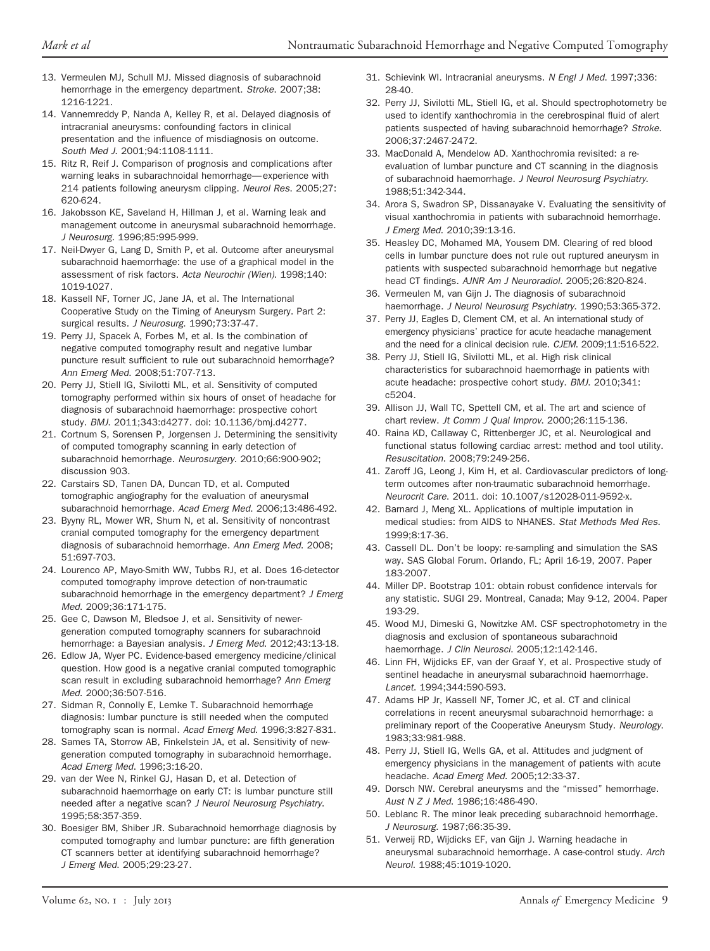- <span id="page-8-16"></span>13. Vermeulen MJ, Schull MJ. Missed diagnosis of subarachnoid hemorrhage in the emergency department. *Stroke*. 2007;38: 1216-1221.
- 14. Vannemreddy P, Nanda A, Kelley R, et al. Delayed diagnosis of intracranial aneurysms: confounding factors in clinical presentation and the influence of misdiagnosis on outcome. *South Med J*. 2001;94:1108-1111.
- 15. Ritz R, Reif J. Comparison of prognosis and complications after warning leaks in subarachnoidal hemorrhage— experience with 214 patients following aneurysm clipping. *Neurol Res*. 2005;27: 620-624.
- 16. Jakobsson KE, Saveland H, Hillman J, et al. Warning leak and management outcome in aneurysmal subarachnoid hemorrhage. *J Neurosurg*. 1996;85:995-999.
- 17. Neil-Dwyer G, Lang D, Smith P, et al. Outcome after aneurysmal subarachnoid haemorrhage: the use of a graphical model in the assessment of risk factors. *Acta Neurochir (Wien)*. 1998;140: 1019-1027.
- 18. Kassell NF, Torner JC, Jane JA, et al. The International Cooperative Study on the Timing of Aneurysm Surgery. Part 2: surgical results. *J Neurosurg*. 1990;73:37-47.
- <span id="page-8-0"></span>19. Perry JJ, Spacek A, Forbes M, et al. Is the combination of negative computed tomography result and negative lumbar puncture result sufficient to rule out subarachnoid hemorrhage? *Ann Emerg Med*. 2008;51:707-713.
- <span id="page-8-1"></span>20. Perry JJ, Stiell IG, Sivilotti ML, et al. Sensitivity of computed tomography performed within six hours of onset of headache for diagnosis of subarachnoid haemorrhage: prospective cohort study. *BMJ*. 2011;343:d4277. doi: 10.1136/bmj.d4277.
- 21. Cortnum S, Sorensen P, Jorgensen J. Determining the sensitivity of computed tomography scanning in early detection of subarachnoid hemorrhage. *Neurosurgery*. 2010;66:900-902; discussion 903.
- 22. Carstairs SD, Tanen DA, Duncan TD, et al. Computed tomographic angiography for the evaluation of aneurysmal subarachnoid hemorrhage. *Acad Emerg Med*. 2006;13:486-492.
- 23. Byyny RL, Mower WR, Shum N, et al. Sensitivity of noncontrast cranial computed tomography for the emergency department diagnosis of subarachnoid hemorrhage. *Ann Emerg Med*. 2008; 51:697-703.
- 24. Lourenco AP, Mayo-Smith WW, Tubbs RJ, et al. Does 16-detector computed tomography improve detection of non-traumatic subarachnoid hemorrhage in the emergency department? *J Emerg Med*. 2009;36:171-175.
- <span id="page-8-9"></span>25. Gee C, Dawson M, Bledsoe J, et al. Sensitivity of newergeneration computed tomography scanners for subarachnoid hemorrhage: a Bayesian analysis. *J Emerg Med*. 2012;43:13-18.
- <span id="page-8-14"></span>26. Edlow JA, Wyer PC. Evidence-based emergency medicine/clinical question. How good is a negative cranial computed tomographic scan result in excluding subarachnoid hemorrhage? *Ann Emerg Med*. 2000;36:507-516.
- 27. Sidman R, Connolly E, Lemke T. Subarachnoid hemorrhage diagnosis: lumbar puncture is still needed when the computed tomography scan is normal. *Acad Emerg Med*. 1996;3:827-831.
- 28. Sames TA, Storrow AB, Finkelstein JA, et al. Sensitivity of newgeneration computed tomography in subarachnoid hemorrhage. *Acad Emerg Med*. 1996;3:16-20.
- 29. van der Wee N, Rinkel GJ, Hasan D, et al. Detection of subarachnoid haemorrhage on early CT: is lumbar puncture still needed after a negative scan? *J Neurol Neurosurg Psychiatry*. 1995;58:357-359.
- 30. Boesiger BM, Shiber JR. Subarachnoid hemorrhage diagnosis by computed tomography and lumbar puncture: are fifth generation CT scanners better at identifying subarachnoid hemorrhage? *J Emerg Med*. 2005;29:23-27.
- <span id="page-8-2"></span>31. Schievink WI. Intracranial aneurysms. *N Engl J Med*. 1997;336: 28-40.
- <span id="page-8-13"></span>32. Perry JJ, Sivilotti ML, Stiell IG, et al. Should spectrophotometry be used to identify xanthochromia in the cerebrospinal fluid of alert patients suspected of having subarachnoid hemorrhage? *Stroke*. 2006;37:2467-2472.
- 33. MacDonald A, Mendelow AD. Xanthochromia revisited: a reevaluation of lumbar puncture and CT scanning in the diagnosis of subarachnoid haemorrhage. *J Neurol Neurosurg Psychiatry*. 1988;51:342-344.
- 34. Arora S, Swadron SP, Dissanayake V. Evaluating the sensitivity of visual xanthochromia in patients with subarachnoid hemorrhage. *J Emerg Med*. 2010;39:13-16.
- 35. Heasley DC, Mohamed MA, Yousem DM. Clearing of red blood cells in lumbar puncture does not rule out ruptured aneurysm in patients with suspected subarachnoid hemorrhage but negative head CT findings. *AJNR Am J Neuroradiol*. 2005;26:820-824.
- <span id="page-8-4"></span><span id="page-8-3"></span>36. Vermeulen M, van Gijn J. The diagnosis of subarachnoid haemorrhage. *J Neurol Neurosurg Psychiatry*. 1990;53:365-372.
- 37. Perry JJ, Eagles D, Clement CM, et al. An international study of emergency physicians' practice for acute headache management and the need for a clinical decision rule. *CJEM*. 2009;11:516-522.
- <span id="page-8-5"></span>38. Perry JJ, Stiell IG, Sivilotti ML, et al. High risk clinical characteristics for subarachnoid haemorrhage in patients with acute headache: prospective cohort study. *BMJ*. 2010;341: c5204.
- <span id="page-8-6"></span>39. Allison JJ, Wall TC, Spettell CM, et al. The art and science of chart review. *Jt Comm J Qual Improv*. 2000;26:115-136.
- <span id="page-8-7"></span>40. Raina KD, Callaway C, Rittenberger JC, et al. Neurological and functional status following cardiac arrest: method and tool utility. *Resuscitation*. 2008;79:249-256.
- <span id="page-8-8"></span>41. Zaroff JG, Leong J, Kim H, et al. Cardiovascular predictors of longterm outcomes after non-traumatic subarachnoid hemorrhage. *Neurocrit Care*. 2011. doi: 10.1007/s12028-011-9592-x.
- <span id="page-8-10"></span>42. Barnard J, Meng XL. Applications of multiple imputation in medical studies: from AIDS to NHANES. *Stat Methods Med Res*. 1999;8:17-36.
- <span id="page-8-11"></span>43. Cassell DL. Don't be loopy: re-sampling and simulation the SAS way. SAS Global Forum. Orlando, FL; April 16-19, 2007. Paper 183-2007.
- <span id="page-8-12"></span>44. Miller DP. Bootstrap 101: obtain robust confidence intervals for any statistic. SUGI 29. Montreal, Canada; May 9-12, 2004. Paper 193-29.
- 45. Wood MJ, Dimeski G, Nowitzke AM. CSF spectrophotometry in the diagnosis and exclusion of spontaneous subarachnoid haemorrhage. *J Clin Neurosci*. 2005;12:142-146.
- 46. Linn FH, Wijdicks EF, van der Graaf Y, et al. Prospective study of sentinel headache in aneurysmal subarachnoid haemorrhage. *Lancet*. 1994;344:590-593.
- 47. Adams HP Jr, Kassell NF, Torner JC, et al. CT and clinical correlations in recent aneurysmal subarachnoid hemorrhage: a preliminary report of the Cooperative Aneurysm Study. *Neurology*. 1983;33:981-988.
- <span id="page-8-15"></span>48. Perry JJ, Stiell IG, Wells GA, et al. Attitudes and judgment of emergency physicians in the management of patients with acute headache. *Acad Emerg Med*. 2005;12:33-37.
- 49. Dorsch NW. Cerebral aneurysms and the "missed" hemorrhage. *Aust N Z J Med*. 1986;16:486-490.
- 50. Leblanc R. The minor leak preceding subarachnoid hemorrhage. *J Neurosurg*. 1987;66:35-39.
- 51. Verweij RD, Wijdicks EF, van Gijn J. Warning headache in aneurysmal subarachnoid hemorrhage. A case-control study. *Arch Neurol*. 1988;45:1019-1020.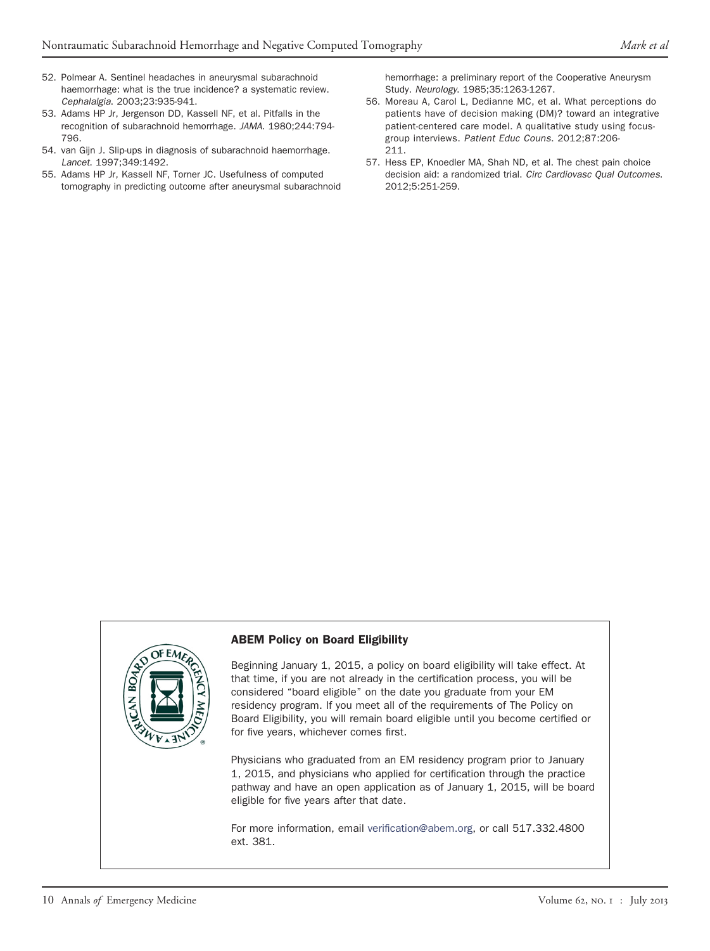- <span id="page-9-0"></span>52. Polmear A. Sentinel headaches in aneurysmal subarachnoid haemorrhage: what is the true incidence? a systematic review. *Cephalalgia*. 2003;23:935-941.
- 53. Adams HP Jr, Jergenson DD, Kassell NF, et al. Pitfalls in the recognition of subarachnoid hemorrhage. *JAMA*. 1980;244:794- 796.
- 54. van Gijn J. Slip-ups in diagnosis of subarachnoid haemorrhage. *Lancet*. 1997;349:1492.
- <span id="page-9-1"></span>55. Adams HP Jr, Kassell NF, Torner JC. Usefulness of computed tomography in predicting outcome after aneurysmal subarachnoid

hemorrhage: a preliminary report of the Cooperative Aneurysm Study. *Neurology*. 1985;35:1263-1267.

- <span id="page-9-2"></span>56. Moreau A, Carol L, Dedianne MC, et al. What perceptions do patients have of decision making (DM)? toward an integrative patient-centered care model. A qualitative study using focusgroup interviews. *Patient Educ Couns*. 2012;87:206- 211.
- <span id="page-9-3"></span>57. Hess EP, Knoedler MA, Shah ND, et al. The chest pain choice decision aid: a randomized trial. *Circ Cardiovasc Qual Outcomes*. 2012;5:251-259.



#### ABEM Policy on Board Eligibility

Beginning January 1, 2015, a policy on board eligibility will take effect. At that time, if you are not already in the certification process, you will be considered "board eligible" on the date you graduate from your EM residency program. If you meet all of the requirements of The Policy on Board Eligibility, you will remain board eligible until you become certified or for five years, whichever comes first.

Physicians who graduated from an EM residency program prior to January 1, 2015, and physicians who applied for certification through the practice pathway and have an open application as of January 1, 2015, will be board eligible for five years after that date.

For more information, email [verification@abem.org,](mailto:verification@abem.org) or call 517.332.4800 ext. 381.